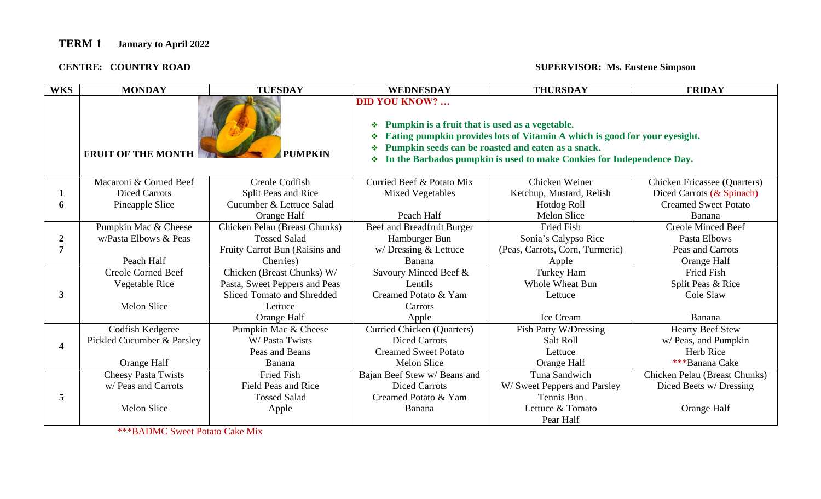#### **CENTRE: COUNTRY ROAD**

#### **SUPERVISOR: Ms. Eustene Simpson**

| <b>WKS</b>              | <b>MONDAY</b>              | <b>TUESDAY</b>                 | <b>WEDNESDAY</b>                                                                                                                                                                                                                                                                                         | <b>THURSDAY</b>                 | <b>FRIDAY</b>                       |
|-------------------------|----------------------------|--------------------------------|----------------------------------------------------------------------------------------------------------------------------------------------------------------------------------------------------------------------------------------------------------------------------------------------------------|---------------------------------|-------------------------------------|
|                         | <b>FRUIT OF THE MONTH</b>  | <b>PUMPKIN</b>                 | <b>DID YOU KNOW?</b><br>Pumpkin is a fruit that is used as a vegetable.<br>❖<br>Eating pumpkin provides lots of Vitamin A which is good for your eyesight.<br>٠<br>Pumpkin seeds can be roasted and eaten as a snack.<br>❖<br>In the Barbados pumpkin is used to make Conkies for Independence Day.<br>❖ |                                 |                                     |
|                         | Macaroni & Corned Beef     | Creole Codfish                 | Curried Beef & Potato Mix                                                                                                                                                                                                                                                                                | Chicken Weiner                  | <b>Chicken Fricassee (Quarters)</b> |
|                         | <b>Diced Carrots</b>       | Split Peas and Rice            | <b>Mixed Vegetables</b>                                                                                                                                                                                                                                                                                  | Ketchup, Mustard, Relish        | Diced Carrots (& Spinach)           |
| 6                       | Pineapple Slice            | Cucumber & Lettuce Salad       |                                                                                                                                                                                                                                                                                                          | Hotdog Roll                     | <b>Creamed Sweet Potato</b>         |
|                         |                            | Orange Half                    | Peach Half                                                                                                                                                                                                                                                                                               | <b>Melon Slice</b>              | Banana                              |
|                         | Pumpkin Mac & Cheese       | Chicken Pelau (Breast Chunks)  | Beef and Breadfruit Burger                                                                                                                                                                                                                                                                               | <b>Fried Fish</b>               | <b>Creole Minced Beef</b>           |
| $\boldsymbol{2}$        | w/Pasta Elbows & Peas      | <b>Tossed Salad</b>            | Hamburger Bun                                                                                                                                                                                                                                                                                            | Sonia's Calypso Rice            | Pasta Elbows                        |
| $\overline{7}$          |                            | Fruity Carrot Bun (Raisins and | $w/$ Dressing $&$ Lettuce                                                                                                                                                                                                                                                                                | (Peas, Carrots, Corn, Turmeric) | Peas and Carrots                    |
|                         | Peach Half                 | Cherries)                      | Banana                                                                                                                                                                                                                                                                                                   | Apple                           | Orange Half                         |
|                         | <b>Creole Corned Beef</b>  | Chicken (Breast Chunks) W/     | Savoury Minced Beef &                                                                                                                                                                                                                                                                                    | Turkey Ham                      | <b>Fried Fish</b>                   |
|                         | Vegetable Rice             | Pasta, Sweet Peppers and Peas  | Lentils                                                                                                                                                                                                                                                                                                  | <b>Whole Wheat Bun</b>          | Split Peas & Rice                   |
| 3                       |                            | Sliced Tomato and Shredded     | Creamed Potato & Yam                                                                                                                                                                                                                                                                                     | Lettuce                         | Cole Slaw                           |
|                         | <b>Melon Slice</b>         | Lettuce                        | Carrots                                                                                                                                                                                                                                                                                                  |                                 |                                     |
|                         |                            | Orange Half                    | Apple                                                                                                                                                                                                                                                                                                    | Ice Cream                       | Banana                              |
|                         | Codfish Kedgeree           | Pumpkin Mac & Cheese           | Curried Chicken (Quarters)                                                                                                                                                                                                                                                                               | Fish Patty W/Dressing           | <b>Hearty Beef Stew</b>             |
| $\overline{\mathbf{4}}$ | Pickled Cucumber & Parsley | W/ Pasta Twists                | <b>Diced Carrots</b>                                                                                                                                                                                                                                                                                     | Salt Roll                       | w/ Peas, and Pumpkin                |
|                         |                            | Peas and Beans                 | <b>Creamed Sweet Potato</b>                                                                                                                                                                                                                                                                              | Lettuce                         | Herb Rice                           |
|                         | Orange Half                | Banana                         | <b>Melon Slice</b>                                                                                                                                                                                                                                                                                       | Orange Half                     | ***Banana Cake                      |
|                         | <b>Cheesy Pasta Twists</b> | <b>Fried Fish</b>              | Bajan Beef Stew w/ Beans and                                                                                                                                                                                                                                                                             | Tuna Sandwich                   | Chicken Pelau (Breast Chunks)       |
|                         | w/ Peas and Carrots        | <b>Field Peas and Rice</b>     | <b>Diced Carrots</b>                                                                                                                                                                                                                                                                                     | W/ Sweet Peppers and Parsley    | Diced Beets w/ Dressing             |
| 5                       |                            | <b>Tossed Salad</b>            | Creamed Potato & Yam                                                                                                                                                                                                                                                                                     | Tennis Bun                      |                                     |
|                         | Melon Slice                | Apple                          | Banana                                                                                                                                                                                                                                                                                                   | Lettuce & Tomato                | <b>Orange Half</b>                  |
|                         |                            |                                |                                                                                                                                                                                                                                                                                                          | Pear Half                       |                                     |

\*\*\*BADMC Sweet Potato Cake Mix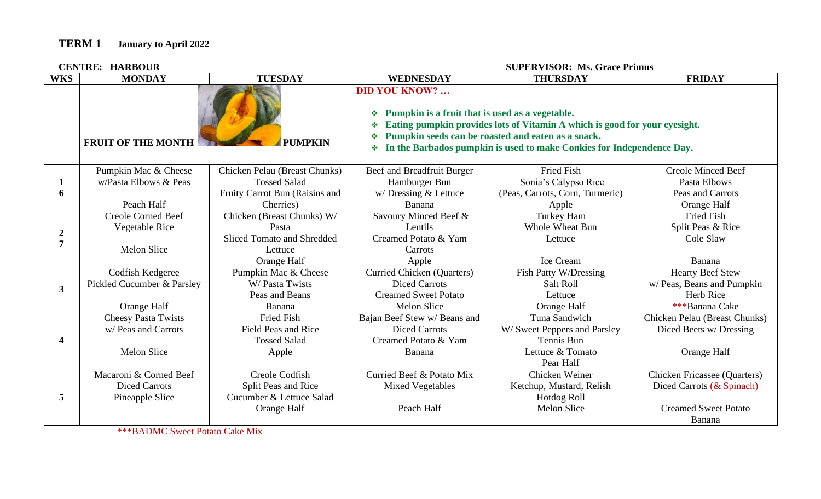**CENTRE: HARBOUR** 

**CENTRE: HARBOUR SUPERVISOR: Ms. Grace Primus**

| <b>WKS</b>       | <b>MONDAY</b>              | <b>TUESDAY</b>                    | <b>WEDNESDAY</b>                                                                                                                                                                                                                                                                                          | <b>THURSDAY</b>                 | <b>FRIDAY</b>                 |
|------------------|----------------------------|-----------------------------------|-----------------------------------------------------------------------------------------------------------------------------------------------------------------------------------------------------------------------------------------------------------------------------------------------------------|---------------------------------|-------------------------------|
|                  | <b>FRUIT OF THE MONTH</b>  | <b>PUMPKIN</b>                    | <b>DID YOU KNOW? </b><br>Pumpkin is a fruit that is used as a vegetable.<br>❖<br>Eating pumpkin provides lots of Vitamin A which is good for your eyesight.<br>❖<br>Pumpkin seeds can be roasted and eaten as a snack.<br>❖<br>In the Barbados pumpkin is used to make Conkies for Independence Day.<br>❖ |                                 |                               |
|                  | Pumpkin Mac & Cheese       | Chicken Pelau (Breast Chunks)     | Beef and Breadfruit Burger                                                                                                                                                                                                                                                                                | <b>Fried Fish</b>               | <b>Creole Minced Beef</b>     |
|                  | w/Pasta Elbows & Peas      | <b>Tossed Salad</b>               | Hamburger Bun                                                                                                                                                                                                                                                                                             | Sonia's Calypso Rice            | Pasta Elbows                  |
| 6                |                            | Fruity Carrot Bun (Raisins and    | w/Dressing & Lettuce                                                                                                                                                                                                                                                                                      | (Peas, Carrots, Corn, Turmeric) | Peas and Carrots              |
|                  | Peach Half                 | Cherries)                         | Banana                                                                                                                                                                                                                                                                                                    | Apple                           | Orange Half                   |
|                  | <b>Creole Corned Beef</b>  | Chicken (Breast Chunks) W/        | Savoury Minced Beef &                                                                                                                                                                                                                                                                                     | Turkey Ham                      | <b>Fried Fish</b>             |
| $\boldsymbol{2}$ | Vegetable Rice             | Pasta                             | Lentils                                                                                                                                                                                                                                                                                                   | <b>Whole Wheat Bun</b>          | Split Peas & Rice             |
| 7                |                            | <b>Sliced Tomato and Shredded</b> | Creamed Potato & Yam                                                                                                                                                                                                                                                                                      | Lettuce                         | Cole Slaw                     |
|                  | Melon Slice                | Lettuce                           | Carrots                                                                                                                                                                                                                                                                                                   |                                 |                               |
|                  |                            | Orange Half                       | Apple                                                                                                                                                                                                                                                                                                     | Ice Cream                       | Banana                        |
|                  | Codfish Kedgeree           | Pumpkin Mac & Cheese              | <b>Curried Chicken (Quarters)</b>                                                                                                                                                                                                                                                                         | Fish Patty W/Dressing           | <b>Hearty Beef Stew</b>       |
| $\mathbf{3}$     | Pickled Cucumber & Parsley | W/Pasta Twists                    | <b>Diced Carrots</b>                                                                                                                                                                                                                                                                                      | Salt Roll                       | w/ Peas, Beans and Pumpkin    |
|                  |                            | Peas and Beans                    | <b>Creamed Sweet Potato</b>                                                                                                                                                                                                                                                                               | Lettuce                         | Herb Rice                     |
|                  | Orange Half                | Banana                            | <b>Melon Slice</b>                                                                                                                                                                                                                                                                                        | Orange Half                     | ***Banana Cake                |
|                  | <b>Cheesy Pasta Twists</b> | <b>Fried Fish</b>                 | Bajan Beef Stew w/ Beans and                                                                                                                                                                                                                                                                              | Tuna Sandwich                   | Chicken Pelau (Breast Chunks) |
|                  | w/ Peas and Carrots        | Field Peas and Rice               | <b>Diced Carrots</b>                                                                                                                                                                                                                                                                                      | W/ Sweet Peppers and Parsley    | Diced Beets w/ Dressing       |
|                  |                            | <b>Tossed Salad</b>               | Creamed Potato & Yam                                                                                                                                                                                                                                                                                      | Tennis Bun                      |                               |
|                  | <b>Melon Slice</b>         | Apple                             | Banana                                                                                                                                                                                                                                                                                                    | Lettuce & Tomato                | Orange Half                   |
|                  |                            |                                   |                                                                                                                                                                                                                                                                                                           | Pear Half                       |                               |
| 5                | Macaroni & Corned Beef     | Creole Codfish                    | Curried Beef & Potato Mix                                                                                                                                                                                                                                                                                 | Chicken Weiner                  | Chicken Fricassee (Quarters)  |
|                  | <b>Diced Carrots</b>       | Split Peas and Rice               | <b>Mixed Vegetables</b>                                                                                                                                                                                                                                                                                   | Ketchup, Mustard, Relish        | Diced Carrots (& Spinach)     |
|                  | Pineapple Slice            | Cucumber & Lettuce Salad          |                                                                                                                                                                                                                                                                                                           | Hotdog Roll                     |                               |
|                  |                            | Orange Half                       | Peach Half                                                                                                                                                                                                                                                                                                | <b>Melon Slice</b>              | <b>Creamed Sweet Potato</b>   |
|                  |                            |                                   |                                                                                                                                                                                                                                                                                                           |                                 | Banana                        |

\*\*\*BADMC Sweet Potato Cake Mix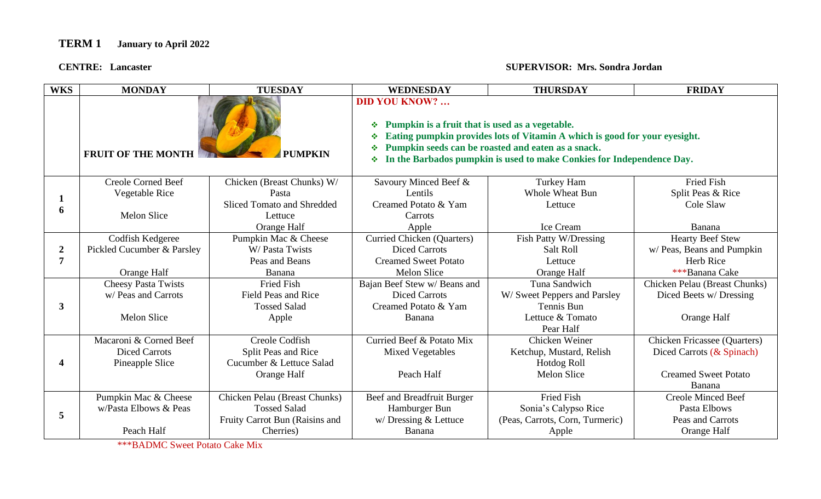#### **CENTRE:** Lancaster

#### **CENTRE: Lancaster SUPERVISOR: Mrs. Sondra Jordan**

| <b>WKS</b>                         | <b>MONDAY</b>                               | <b>TUESDAY</b>                       | <b>WEDNESDAY</b>                                                                                                                                                                                                                                                                                          | <b>THURSDAY</b>                 | <b>FRIDAY</b>                 |
|------------------------------------|---------------------------------------------|--------------------------------------|-----------------------------------------------------------------------------------------------------------------------------------------------------------------------------------------------------------------------------------------------------------------------------------------------------------|---------------------------------|-------------------------------|
|                                    | <b>FRUIT OF THE MONTH</b><br><b>PUMPKIN</b> |                                      | <b>DID YOU KNOW? </b><br>Pumpkin is a fruit that is used as a vegetable.<br>❖<br>Eating pumpkin provides lots of Vitamin A which is good for your eyesight.<br>❖<br>Pumpkin seeds can be roasted and eaten as a snack.<br>❖<br>In the Barbados pumpkin is used to make Conkies for Independence Day.<br>❖ |                                 |                               |
|                                    | <b>Creole Corned Beef</b>                   | Chicken (Breast Chunks) W/           | Savoury Minced Beef &                                                                                                                                                                                                                                                                                     | Turkey Ham                      | <b>Fried Fish</b>             |
|                                    | Vegetable Rice                              | Pasta                                | Lentils                                                                                                                                                                                                                                                                                                   | <b>Whole Wheat Bun</b>          | Split Peas & Rice             |
| 6                                  |                                             | <b>Sliced Tomato and Shredded</b>    | Creamed Potato & Yam                                                                                                                                                                                                                                                                                      | Lettuce                         | Cole Slaw                     |
|                                    | <b>Melon Slice</b>                          | Lettuce                              | Carrots                                                                                                                                                                                                                                                                                                   |                                 |                               |
|                                    |                                             | Orange Half                          | Apple                                                                                                                                                                                                                                                                                                     | Ice Cream                       | Banana                        |
| $\boldsymbol{2}$<br>$\overline{7}$ | Codfish Kedgeree                            | Pumpkin Mac & Cheese                 | <b>Curried Chicken (Quarters)</b>                                                                                                                                                                                                                                                                         | Fish Patty W/Dressing           | <b>Hearty Beef Stew</b>       |
|                                    | Pickled Cucumber & Parsley                  | W/ Pasta Twists                      | <b>Diced Carrots</b>                                                                                                                                                                                                                                                                                      | Salt Roll                       | w/ Peas, Beans and Pumpkin    |
|                                    |                                             | Peas and Beans                       | <b>Creamed Sweet Potato</b>                                                                                                                                                                                                                                                                               | Lettuce                         | Herb Rice                     |
|                                    | Orange Half                                 | Banana                               | <b>Melon Slice</b>                                                                                                                                                                                                                                                                                        | Orange Half                     | ***Banana Cake                |
|                                    | <b>Cheesy Pasta Twists</b>                  | <b>Fried Fish</b>                    | Bajan Beef Stew w/ Beans and                                                                                                                                                                                                                                                                              | Tuna Sandwich                   | Chicken Pelau (Breast Chunks) |
|                                    | w/ Peas and Carrots                         | <b>Field Peas and Rice</b>           | <b>Diced Carrots</b>                                                                                                                                                                                                                                                                                      | W/ Sweet Peppers and Parsley    | Diced Beets w/ Dressing       |
| 3                                  |                                             | <b>Tossed Salad</b>                  | Creamed Potato & Yam                                                                                                                                                                                                                                                                                      | Tennis Bun                      |                               |
|                                    | <b>Melon Slice</b>                          | Apple                                | Banana                                                                                                                                                                                                                                                                                                    | Lettuce & Tomato                | Orange Half                   |
|                                    |                                             |                                      |                                                                                                                                                                                                                                                                                                           | Pear Half                       |                               |
| 4                                  | Macaroni & Corned Beef                      | Creole Codfish                       | Curried Beef & Potato Mix                                                                                                                                                                                                                                                                                 | Chicken Weiner                  | Chicken Fricassee (Quarters)  |
|                                    | <b>Diced Carrots</b>                        | Split Peas and Rice                  | <b>Mixed Vegetables</b>                                                                                                                                                                                                                                                                                   | Ketchup, Mustard, Relish        | Diced Carrots (& Spinach)     |
|                                    | Pineapple Slice                             | Cucumber & Lettuce Salad             |                                                                                                                                                                                                                                                                                                           | Hotdog Roll                     |                               |
|                                    |                                             | Orange Half                          | Peach Half                                                                                                                                                                                                                                                                                                | <b>Melon Slice</b>              | <b>Creamed Sweet Potato</b>   |
|                                    |                                             |                                      |                                                                                                                                                                                                                                                                                                           |                                 | Banana                        |
| 5                                  | Pumpkin Mac & Cheese                        | <b>Chicken Pelau (Breast Chunks)</b> | Beef and Breadfruit Burger                                                                                                                                                                                                                                                                                | <b>Fried Fish</b>               | <b>Creole Minced Beef</b>     |
|                                    | w/Pasta Elbows & Peas                       | <b>Tossed Salad</b>                  | Hamburger Bun                                                                                                                                                                                                                                                                                             | Sonia's Calypso Rice            | Pasta Elbows                  |
|                                    |                                             | Fruity Carrot Bun (Raisins and       | $w/$ Dressing & Lettuce                                                                                                                                                                                                                                                                                   | (Peas, Carrots, Corn, Turmeric) | Peas and Carrots              |
|                                    | Peach Half                                  | Cherries)                            | Banana                                                                                                                                                                                                                                                                                                    | Apple                           | Orange Half                   |

\*\*\*BADMC Sweet Potato Cake Mix